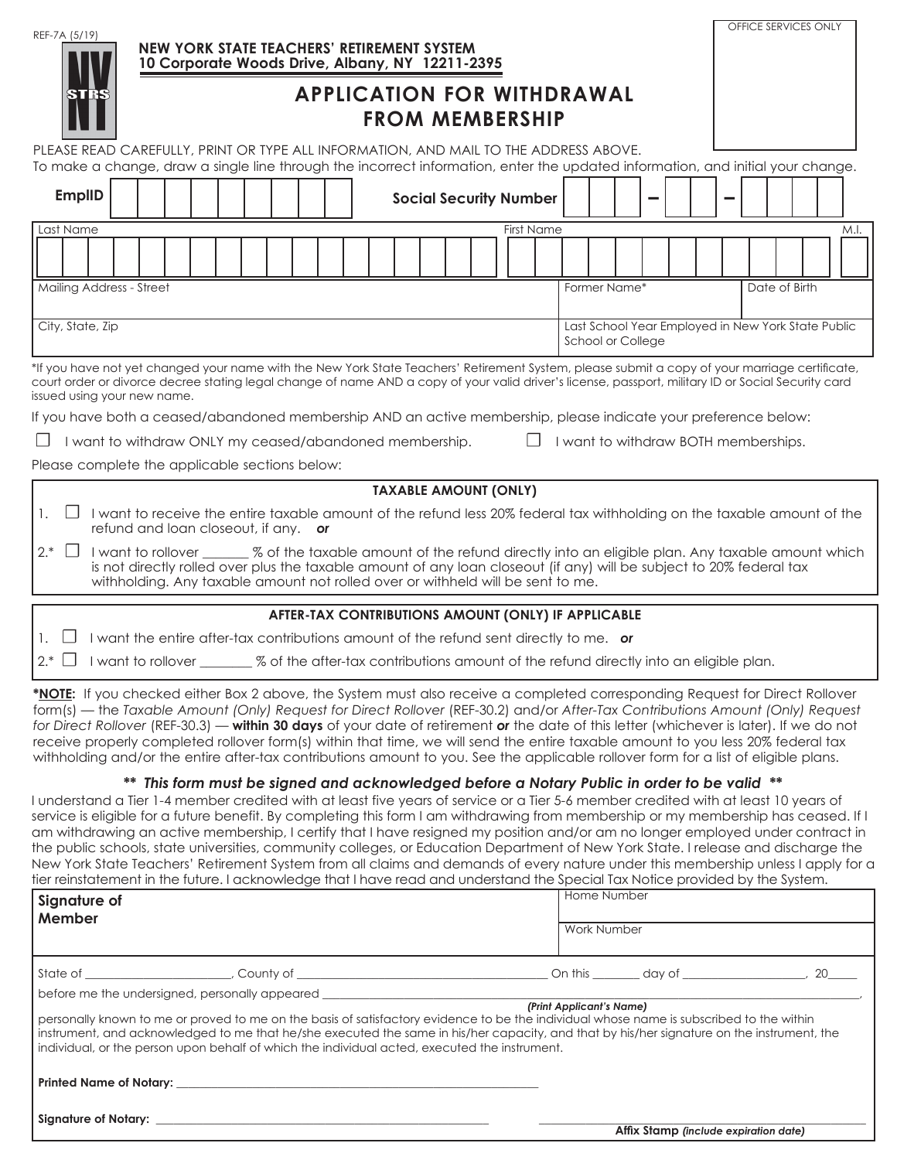| REF-7A (5/19)                                                                                                                                                                                                                                                                                                                                                                                                                                                                                                                                                                                                                                                                                                                                                                                                                              | NEW YORK STATE TEACHERS' RETIREMENT SYSTEM<br>10 Corporate Woods Drive, Albany, NY 12211-2395 |  |                                                                                                                                                                                                         |  |  |  |  |                                                     |  |  |  |                   |                          |                                                                         |  |  |  | OFFICE SERVICES ONLY |  |  |  |                                       |  |      |
|--------------------------------------------------------------------------------------------------------------------------------------------------------------------------------------------------------------------------------------------------------------------------------------------------------------------------------------------------------------------------------------------------------------------------------------------------------------------------------------------------------------------------------------------------------------------------------------------------------------------------------------------------------------------------------------------------------------------------------------------------------------------------------------------------------------------------------------------|-----------------------------------------------------------------------------------------------|--|---------------------------------------------------------------------------------------------------------------------------------------------------------------------------------------------------------|--|--|--|--|-----------------------------------------------------|--|--|--|-------------------|--------------------------|-------------------------------------------------------------------------|--|--|--|----------------------|--|--|--|---------------------------------------|--|------|
| <b>APPLICATION FOR WITHDRAWAL</b><br>STRS<br><b>FROM MEMBERSHIP</b>                                                                                                                                                                                                                                                                                                                                                                                                                                                                                                                                                                                                                                                                                                                                                                        |                                                                                               |  |                                                                                                                                                                                                         |  |  |  |  |                                                     |  |  |  |                   |                          |                                                                         |  |  |  |                      |  |  |  |                                       |  |      |
| PLEASE READ CAREFULLY, PRINT OR TYPE ALL INFORMATION, AND MAIL TO THE ADDRESS ABOVE.<br>To make a change, draw a single line through the incorrect information, enter the updated information, and initial your change.                                                                                                                                                                                                                                                                                                                                                                                                                                                                                                                                                                                                                    |                                                                                               |  |                                                                                                                                                                                                         |  |  |  |  |                                                     |  |  |  |                   |                          |                                                                         |  |  |  |                      |  |  |  |                                       |  |      |
| <b>EmplID</b>                                                                                                                                                                                                                                                                                                                                                                                                                                                                                                                                                                                                                                                                                                                                                                                                                              |                                                                                               |  |                                                                                                                                                                                                         |  |  |  |  |                                                     |  |  |  |                   |                          |                                                                         |  |  |  |                      |  |  |  |                                       |  |      |
|                                                                                                                                                                                                                                                                                                                                                                                                                                                                                                                                                                                                                                                                                                                                                                                                                                            |                                                                                               |  |                                                                                                                                                                                                         |  |  |  |  | <b>Social Security Number</b>                       |  |  |  |                   |                          |                                                                         |  |  |  |                      |  |  |  |                                       |  |      |
| Last Name                                                                                                                                                                                                                                                                                                                                                                                                                                                                                                                                                                                                                                                                                                                                                                                                                                  |                                                                                               |  |                                                                                                                                                                                                         |  |  |  |  |                                                     |  |  |  | <b>First Name</b> |                          |                                                                         |  |  |  |                      |  |  |  |                                       |  | M.I. |
|                                                                                                                                                                                                                                                                                                                                                                                                                                                                                                                                                                                                                                                                                                                                                                                                                                            |                                                                                               |  |                                                                                                                                                                                                         |  |  |  |  |                                                     |  |  |  |                   |                          |                                                                         |  |  |  |                      |  |  |  |                                       |  |      |
| Mailing Address - Street                                                                                                                                                                                                                                                                                                                                                                                                                                                                                                                                                                                                                                                                                                                                                                                                                   |                                                                                               |  |                                                                                                                                                                                                         |  |  |  |  |                                                     |  |  |  |                   |                          | Former Name*                                                            |  |  |  |                      |  |  |  | Date of Birth                         |  |      |
|                                                                                                                                                                                                                                                                                                                                                                                                                                                                                                                                                                                                                                                                                                                                                                                                                                            |                                                                                               |  |                                                                                                                                                                                                         |  |  |  |  |                                                     |  |  |  |                   |                          |                                                                         |  |  |  |                      |  |  |  |                                       |  |      |
|                                                                                                                                                                                                                                                                                                                                                                                                                                                                                                                                                                                                                                                                                                                                                                                                                                            | City, State, Zip                                                                              |  |                                                                                                                                                                                                         |  |  |  |  |                                                     |  |  |  |                   |                          | Last School Year Employed in New York State Public<br>School or College |  |  |  |                      |  |  |  |                                       |  |      |
| *If you have not yet changed your name with the New York State Teachers' Retirement System, please submit a copy of your marriage certificate,<br>court order or divorce decree stating legal change of name AND a copy of your valid driver's license, passport, military ID or Social Security card<br>issued using your new name.                                                                                                                                                                                                                                                                                                                                                                                                                                                                                                       |                                                                                               |  |                                                                                                                                                                                                         |  |  |  |  |                                                     |  |  |  |                   |                          |                                                                         |  |  |  |                      |  |  |  |                                       |  |      |
| If you have both a ceased/abandoned membership AND an active membership, please indicate your preference below:                                                                                                                                                                                                                                                                                                                                                                                                                                                                                                                                                                                                                                                                                                                            |                                                                                               |  |                                                                                                                                                                                                         |  |  |  |  |                                                     |  |  |  |                   |                          |                                                                         |  |  |  |                      |  |  |  |                                       |  |      |
| I want to withdraw ONLY my ceased/abandoned membership.                                                                                                                                                                                                                                                                                                                                                                                                                                                                                                                                                                                                                                                                                                                                                                                    |                                                                                               |  |                                                                                                                                                                                                         |  |  |  |  |                                                     |  |  |  | $\perp$           |                          |                                                                         |  |  |  |                      |  |  |  | I want to withdraw BOTH memberships.  |  |      |
| Please complete the applicable sections below:                                                                                                                                                                                                                                                                                                                                                                                                                                                                                                                                                                                                                                                                                                                                                                                             |                                                                                               |  |                                                                                                                                                                                                         |  |  |  |  |                                                     |  |  |  |                   |                          |                                                                         |  |  |  |                      |  |  |  |                                       |  |      |
|                                                                                                                                                                                                                                                                                                                                                                                                                                                                                                                                                                                                                                                                                                                                                                                                                                            |                                                                                               |  |                                                                                                                                                                                                         |  |  |  |  | <b>TAXABLE AMOUNT (ONLY)</b>                        |  |  |  |                   |                          |                                                                         |  |  |  |                      |  |  |  |                                       |  |      |
| $\perp$<br>I want to receive the entire taxable amount of the refund less 20% federal tax withholding on the taxable amount of the<br>1.                                                                                                                                                                                                                                                                                                                                                                                                                                                                                                                                                                                                                                                                                                   |                                                                                               |  | refund and loan closeout, if any. or                                                                                                                                                                    |  |  |  |  |                                                     |  |  |  |                   |                          |                                                                         |  |  |  |                      |  |  |  |                                       |  |      |
| $2.*$<br>$\mathbf{1}$<br>I want to rollover ______ % of the taxable amount of the refund directly into an eligible plan. Any taxable amount which                                                                                                                                                                                                                                                                                                                                                                                                                                                                                                                                                                                                                                                                                          |                                                                                               |  | is not directly rolled over plus the taxable amount of any loan closeout (if any) will be subject to 20% federal tax<br>withholding. Any taxable amount not rolled over or withheld will be sent to me. |  |  |  |  |                                                     |  |  |  |                   |                          |                                                                         |  |  |  |                      |  |  |  |                                       |  |      |
|                                                                                                                                                                                                                                                                                                                                                                                                                                                                                                                                                                                                                                                                                                                                                                                                                                            |                                                                                               |  |                                                                                                                                                                                                         |  |  |  |  | AFTER-TAX CONTRIBUTIONS AMOUNT (ONLY) IF APPLICABLE |  |  |  |                   |                          |                                                                         |  |  |  |                      |  |  |  |                                       |  |      |
| I want the entire after-tax contributions amount of the refund sent directly to me. or<br>$\Box$                                                                                                                                                                                                                                                                                                                                                                                                                                                                                                                                                                                                                                                                                                                                           |                                                                                               |  |                                                                                                                                                                                                         |  |  |  |  |                                                     |  |  |  |                   |                          |                                                                         |  |  |  |                      |  |  |  |                                       |  |      |
| $2^*$ $\Box$<br>I want to rollover _______ % of the after-tax contributions amount of the refund directly into an eligible plan.                                                                                                                                                                                                                                                                                                                                                                                                                                                                                                                                                                                                                                                                                                           |                                                                                               |  |                                                                                                                                                                                                         |  |  |  |  |                                                     |  |  |  |                   |                          |                                                                         |  |  |  |                      |  |  |  |                                       |  |      |
| *NOTE: If you checked either Box 2 above, the System must also receive a completed corresponding Request for Direct Rollover<br>form(s) — the Taxable Amount (Only) Request for Direct Rollover (REF-30.2) and/or After-Tax Contributions Amount (Only) Request<br>for Direct Rollover (REF-30.3) — within 30 days of your date of retirement or the date of this letter (whichever is later). If we do not<br>receive properly completed rollover form(s) within that time, we will send the entire taxable amount to you less 20% federal tax<br>withholding and/or the entire after-tax contributions amount to you. See the applicable rollover form for a list of eligible plans.                                                                                                                                                     |                                                                                               |  |                                                                                                                                                                                                         |  |  |  |  |                                                     |  |  |  |                   |                          |                                                                         |  |  |  |                      |  |  |  |                                       |  |      |
| I understand a Tier 1-4 member credited with at least five years of service or a Tier 5-6 member credited with at least 10 years of<br>service is eligible for a future benefit. By completing this form I am withdrawing from membership or my membership has ceased. If I<br>am withdrawing an active membership, I certify that I have resigned my position and/or am no longer employed under contract in<br>the public schools, state universities, community colleges, or Education Department of New York State. I release and discharge the<br>New York State Teachers' Retirement System from all claims and demands of every nature under this membership unless I apply for a<br>tier reinstatement in the future. I acknowledge that I have read and understand the Special Tax Notice provided by the System.<br>Signature of |                                                                                               |  | ** This form must be signed and acknowledged before a Notary Public in order to be valid **                                                                                                             |  |  |  |  |                                                     |  |  |  |                   |                          | Home Number                                                             |  |  |  |                      |  |  |  |                                       |  |      |
| Member                                                                                                                                                                                                                                                                                                                                                                                                                                                                                                                                                                                                                                                                                                                                                                                                                                     |                                                                                               |  |                                                                                                                                                                                                         |  |  |  |  |                                                     |  |  |  | Work Number       |                          |                                                                         |  |  |  |                      |  |  |  |                                       |  |      |
|                                                                                                                                                                                                                                                                                                                                                                                                                                                                                                                                                                                                                                                                                                                                                                                                                                            |                                                                                               |  |                                                                                                                                                                                                         |  |  |  |  |                                                     |  |  |  |                   |                          |                                                                         |  |  |  |                      |  |  |  |                                       |  |      |
| before me the undersigned, personally appeared _________________________________                                                                                                                                                                                                                                                                                                                                                                                                                                                                                                                                                                                                                                                                                                                                                           |                                                                                               |  |                                                                                                                                                                                                         |  |  |  |  |                                                     |  |  |  |                   | (Print Applicant's Name) |                                                                         |  |  |  |                      |  |  |  |                                       |  |      |
| personally known to me or proved to me on the basis of satisfactory evidence to be the individual whose name is subscribed to the within<br>instrument, and acknowledged to me that he/she executed the same in his/her capacity, and that by his/her signature on the instrument, the<br>individual, or the person upon behalf of which the individual acted, executed the instrument.                                                                                                                                                                                                                                                                                                                                                                                                                                                    |                                                                                               |  |                                                                                                                                                                                                         |  |  |  |  |                                                     |  |  |  |                   |                          |                                                                         |  |  |  |                      |  |  |  |                                       |  |      |
|                                                                                                                                                                                                                                                                                                                                                                                                                                                                                                                                                                                                                                                                                                                                                                                                                                            |                                                                                               |  |                                                                                                                                                                                                         |  |  |  |  |                                                     |  |  |  |                   |                          |                                                                         |  |  |  |                      |  |  |  |                                       |  |      |
|                                                                                                                                                                                                                                                                                                                                                                                                                                                                                                                                                                                                                                                                                                                                                                                                                                            |                                                                                               |  |                                                                                                                                                                                                         |  |  |  |  |                                                     |  |  |  |                   |                          |                                                                         |  |  |  |                      |  |  |  | Affix Stamp (include expiration date) |  |      |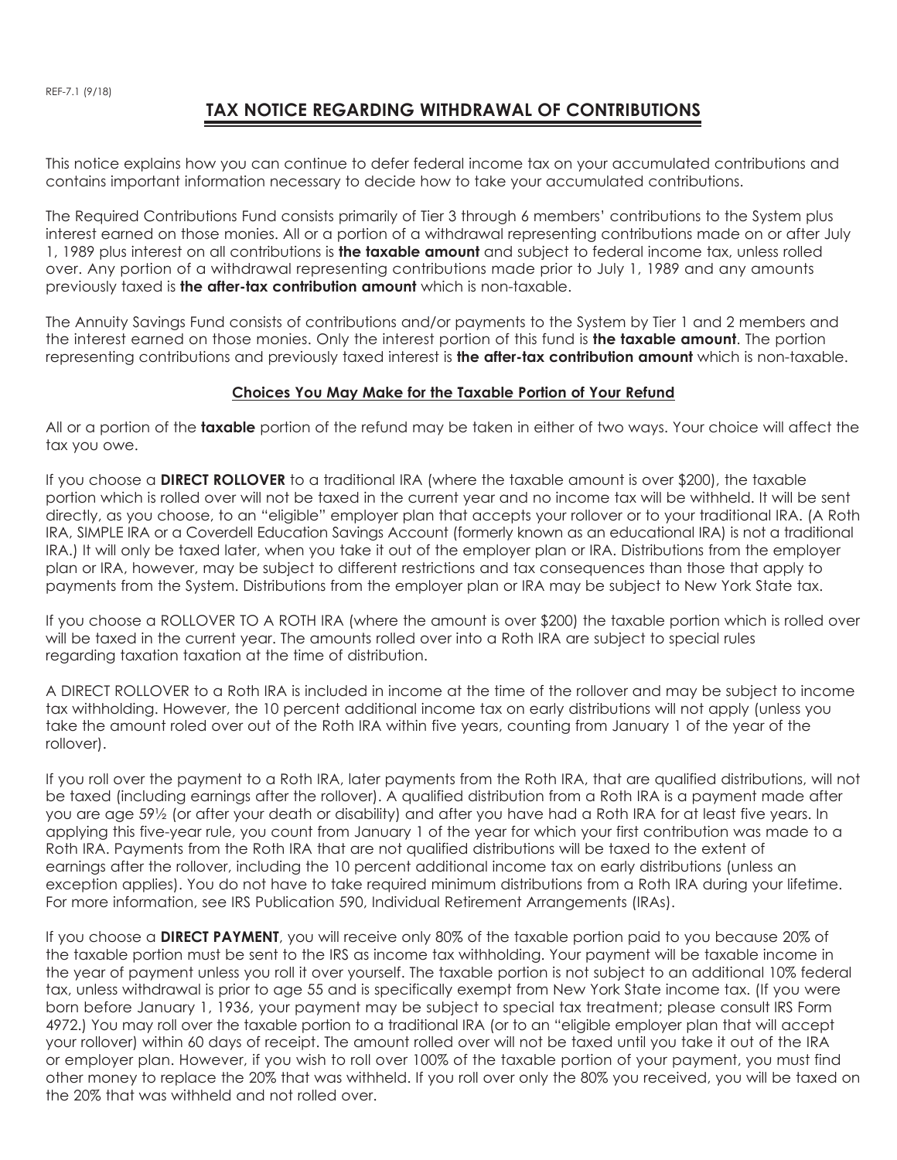## **TAX NOTICE REGARDING WITHDRAWAL OF CONTRIBUTIONS**

This notice explains how you can continue to defer federal income tax on your accumulated contributions and contains important information necessary to decide how to take your accumulated contributions.

The Required Contributions Fund consists primarily of Tier 3 through 6 members' contributions to the System plus interest earned on those monies. All or a portion of a withdrawal representing contributions made on or after July 1, 1989 plus interest on all contributions is **the taxable amount** and subject to federal income tax, unless rolled over. Any portion of a withdrawal representing contributions made prior to July 1, 1989 and any amounts previously taxed is **the after-tax contribution amount** which is non-taxable.

The Annuity Savings Fund consists of contributions and/or payments to the System by Tier 1 and 2 members and the interest earned on those monies. Only the interest portion of this fund is **the taxable amount**. The portion representing contributions and previously taxed interest is **the after-tax contribution amount** which is non-taxable.

## **Choices You May Make for the Taxable Portion of Your Refund**

All or a portion of the **taxable** portion of the refund may be taken in either of two ways. Your choice will affect the tax you owe.

If you choose a **DIRECT ROLLOVER** to a traditional IRA (where the taxable amount is over \$200), the taxable portion which is rolled over will not be taxed in the current year and no income tax will be withheld. It will be sent directly, as you choose, to an "eligible" employer plan that accepts your rollover or to your traditional IRA. (A Roth IRA, SIMPLE IRA or a Coverdell Education Savings Account (formerly known as an educational IRA) is not a traditional IRA.) It will only be taxed later, when you take it out of the employer plan or IRA. Distributions from the employer plan or IRA, however, may be subject to different restrictions and tax consequences than those that apply to payments from the System. Distributions from the employer plan or IRA may be subject to New York State tax.

If you choose a ROLLOVER TO A ROTH IRA (where the amount is over \$200) the taxable portion which is rolled over will be taxed in the current year. The amounts rolled over into a Roth IRA are subject to special rules regarding taxation taxation at the time of distribution.

A DIRECT ROLLOVER to a Roth IRA is included in income at the time of the rollover and may be subject to income tax withholding. However, the 10 percent additional income tax on early distributions will not apply (unless you take the amount roled over out of the Roth IRA within five years, counting from January 1 of the year of the rollover).

If you roll over the payment to a Roth IRA, later payments from the Roth IRA, that are qualified distributions, will not be taxed (including earnings after the rollover). A qualified distribution from a Roth IRA is a payment made after you are age 59½ (or after your death or disability) and after you have had a Roth IRA for at least five years. In applying this five-year rule, you count from January 1 of the year for which your first contribution was made to a Roth IRA. Payments from the Roth IRA that are not qualified distributions will be taxed to the extent of earnings after the rollover, including the 10 percent additional income tax on early distributions (unless an exception applies). You do not have to take required minimum distributions from a Roth IRA during your lifetime. For more information, see IRS Publication 590, Individual Retirement Arrangements (IRAs).

If you choose a **DIRECT PAYMENT**, you will receive only 80% of the taxable portion paid to you because 20% of the taxable portion must be sent to the IRS as income tax withholding. Your payment will be taxable income in the year of payment unless you roll it over yourself. The taxable portion is not subject to an additional 10% federal tax, unless withdrawal is prior to age 55 and is specifically exempt from New York State income tax. (If you were born before January 1, 1936, your payment may be subject to special tax treatment; please consult IRS Form 4972.) You may roll over the taxable portion to a traditional IRA (or to an "eligible employer plan that will accept your rollover) within 60 days of receipt. The amount rolled over will not be taxed until you take it out of the IRA or employer plan. However, if you wish to roll over 100% of the taxable portion of your payment, you must find other money to replace the 20% that was withheld. If you roll over only the 80% you received, you will be taxed on the 20% that was withheld and not rolled over.